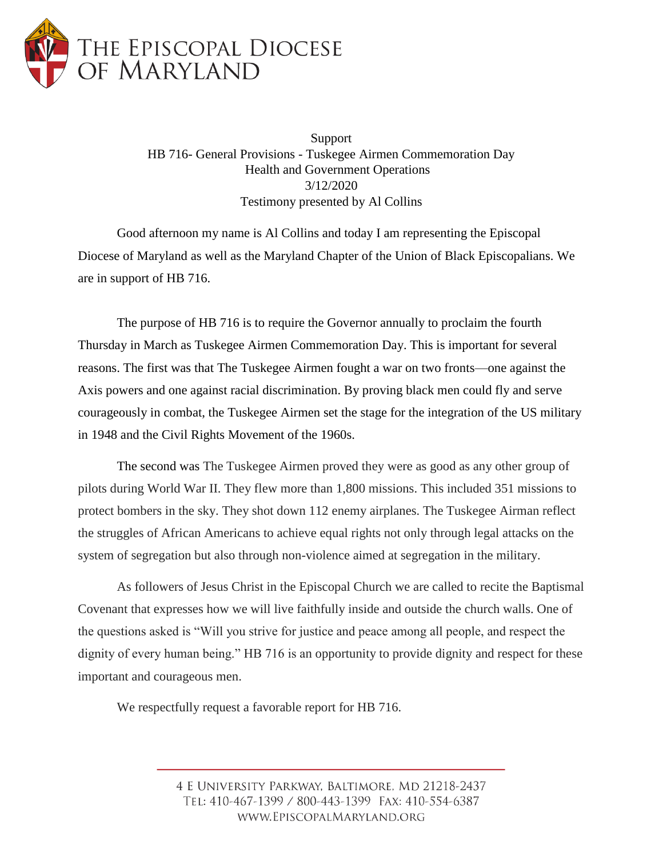

Support HB 716- General Provisions - Tuskegee Airmen Commemoration Day Health and Government Operations 3/12/2020 Testimony presented by Al Collins

Good afternoon my name is Al Collins and today I am representing the Episcopal Diocese of Maryland as well as the Maryland Chapter of the Union of Black Episcopalians. We are in support of HB 716.

The purpose of HB 716 is to require the Governor annually to proclaim the fourth Thursday in March as Tuskegee Airmen Commemoration Day. This is important for several reasons. The first was that The Tuskegee Airmen fought a war on two fronts—one against the Axis powers and one against racial discrimination. By proving black men could fly and serve courageously in combat, the Tuskegee Airmen set the stage for the integration of the US military in 1948 and the Civil Rights Movement of the 1960s.

The second was The Tuskegee Airmen proved they were as good as any other group of pilots during World War II. They flew more than 1,800 missions. This included 351 missions to protect bombers in the sky. They shot down 112 enemy airplanes. The Tuskegee Airman reflect the struggles of African Americans to achieve equal rights not only through legal attacks on the system of segregation but also through non-violence aimed at segregation in the military.

As followers of Jesus Christ in the Episcopal Church we are called to recite the Baptismal Covenant that expresses how we will live faithfully inside and outside the church walls. One of the questions asked is "Will you strive for justice and peace among all people, and respect the dignity of every human being." HB 716 is an opportunity to provide dignity and respect for these important and courageous men.

We respectfully request a favorable report for HB 716.